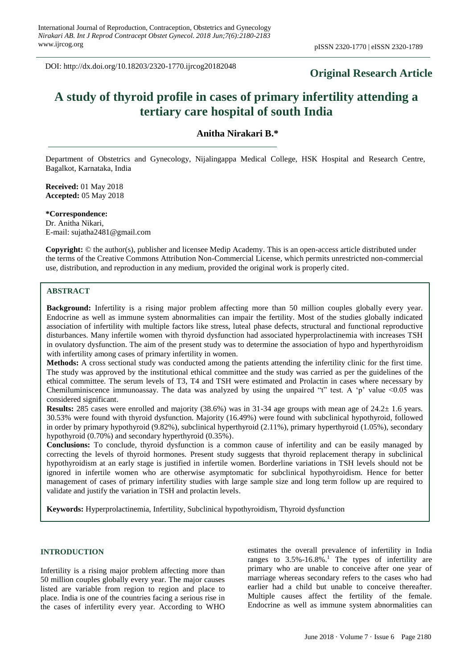DOI: http://dx.doi.org/10.18203/2320-1770.ijrcog20182048

# **Original Research Article**

# **A study of thyroid profile in cases of primary infertility attending a tertiary care hospital of south India**

**Anitha Nirakari B.\***

Department of Obstetrics and Gynecology, Nijalingappa Medical College, HSK Hospital and Research Centre, Bagalkot, Karnataka, India

**Received:** 01 May 2018 **Accepted:** 05 May 2018

**\*Correspondence:** Dr. Anitha Nikari, E-mail: sujatha2481@gmail.com

**Copyright:** © the author(s), publisher and licensee Medip Academy. This is an open-access article distributed under the terms of the Creative Commons Attribution Non-Commercial License, which permits unrestricted non-commercial use, distribution, and reproduction in any medium, provided the original work is properly cited.

# **ABSTRACT**

**Background:** Infertility is a rising major problem affecting more than 50 million couples globally every year. Endocrine as well as immune system abnormalities can impair the fertility. Most of the studies globally indicated association of infertility with multiple factors like stress, luteal phase defects, structural and functional reproductive disturbances. Many infertile women with thyroid dysfunction had associated hyperprolactinemia with increases TSH in ovulatory dysfunction. The aim of the present study was to determine the association of hypo and hyperthyroidism with infertility among cases of primary infertility in women.

**Methods:** A cross sectional study was conducted among the patients attending the infertility clinic for the first time. The study was approved by the institutional ethical committee and the study was carried as per the guidelines of the ethical committee. The serum levels of T3, T4 and TSH were estimated and Prolactin in cases where necessary by Chemiluminiscence immunoassay. The data was analyzed by using the unpaired "t" test. A 'p' value  $\leq 0.05$  was considered significant.

**Results:** 285 cases were enrolled and majority (38.6%) was in 31-34 age groups with mean age of 24.2± 1.6 years. 30.53% were found with thyroid dysfunction. Majority (16.49%) were found with subclinical hypothyroid, followed in order by primary hypothyroid (9.82%), subclinical hyperthyroid (2.11%), primary hyperthyroid (1.05%), secondary hypothyroid (0.70%) and secondary hyperthyroid (0.35%).

**Conclusions:** To conclude, thyroid dysfunction is a common cause of infertility and can be easily managed by correcting the levels of thyroid hormones. Present study suggests that thyroid replacement therapy in subclinical hypothyroidism at an early stage is justified in infertile women. Borderline variations in TSH levels should not be ignored in infertile women who are otherwise asymptomatic for subclinical hypothyroidism. Hence for better management of cases of primary infertility studies with large sample size and long term follow up are required to validate and justify the variation in TSH and prolactin levels.

**Keywords:** Hyperprolactinemia, Infertility, Subclinical hypothyroidism, Thyroid dysfunction

### **INTRODUCTION**

Infertility is a rising major problem affecting more than 50 million couples globally every year. The major causes listed are variable from region to region and place to place. India is one of the countries facing a serious rise in the cases of infertility every year. According to WHO estimates the overall prevalence of infertility in India ranges to  $3.5\%$ -16.8%.<sup>1</sup> The types of infertility are primary who are unable to conceive after one year of marriage whereas secondary refers to the cases who had earlier had a child but unable to conceive thereafter. Multiple causes affect the fertility of the female. Endocrine as well as immune system abnormalities can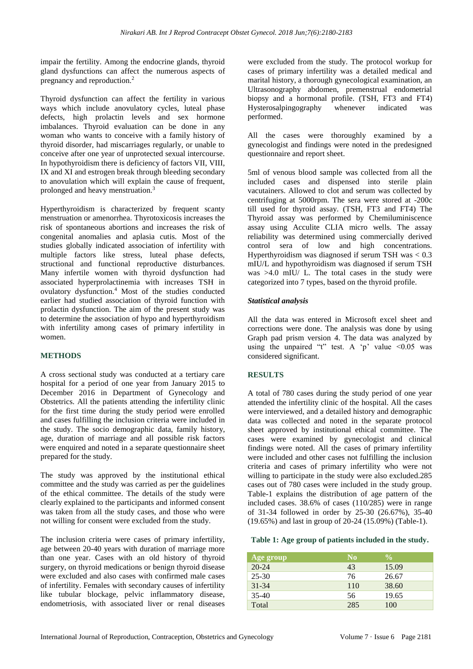impair the fertility. Among the endocrine glands, thyroid gland dysfunctions can affect the numerous aspects of pregnancy and reproduction.<sup>2</sup>

Thyroid dysfunction can affect the fertility in various ways which include anovulatory cycles, luteal phase defects, high prolactin levels and sex hormone imbalances. Thyroid evaluation can be done in any woman who wants to conceive with a family history of thyroid disorder, had miscarriages regularly, or unable to conceive after one year of unprotected sexual intercourse. In hypothyroidism there is deficiency of factors VII, VIII, IX and XI and estrogen break through bleeding secondary to anovulation which will explain the cause of frequent, prolonged and heavy menstruation.<sup>3</sup>

Hyperthyroidism is characterized by frequent scanty menstruation or amenorrhea. Thyrotoxicosis increases the risk of spontaneous abortions and increases the risk of congenital anomalies and aplasia cutis. Most of the studies globally indicated association of infertility with multiple factors like stress, luteal phase defects, structional and functional reproductive disturbances. Many infertile women with thyroid dysfunction had associated hyperprolactinemia with increases TSH in ovulatory dysfunction.<sup>4</sup> Most of the studies conducted earlier had studied association of thyroid function with prolactin dysfunction. The aim of the present study was to determine the association of hypo and hyperthyroidism with infertility among cases of primary infertility in women.

# **METHODS**

A cross sectional study was conducted at a tertiary care hospital for a period of one year from January 2015 to December 2016 in Department of Gynecology and Obstetrics. All the patients attending the infertility clinic for the first time during the study period were enrolled and cases fulfilling the inclusion criteria were included in the study. The socio demographic data, family history, age, duration of marriage and all possible risk factors were enquired and noted in a separate questionnaire sheet prepared for the study.

The study was approved by the institutional ethical committee and the study was carried as per the guidelines of the ethical committee. The details of the study were clearly explained to the participants and informed consent was taken from all the study cases, and those who were not willing for consent were excluded from the study.

The inclusion criteria were cases of primary infertility, age between 20-40 years with duration of marriage more than one year. Cases with an old history of thyroid surgery, on thyroid medications or benign thyroid disease were excluded and also cases with confirmed male cases of infertility. Females with secondary causes of infertility like tubular blockage, pelvic inflammatory disease, endometriosis, with associated liver or renal diseases were excluded from the study. The protocol workup for cases of primary infertility was a detailed medical and marital history, a thorough gynecological examination, an Ultrasonography abdomen, premenstrual endometrial biopsy and a hormonal profile. (TSH, FT3 and FT4) Hysterosalpingography whenever indicated was performed.

All the cases were thoroughly examined by a gynecologist and findings were noted in the predesigned questionnaire and report sheet.

5ml of venous blood sample was collected from all the included cases and dispensed into sterile plain vacutainers. Allowed to clot and serum was collected by centrifuging at 5000rpm. The sera were stored at -200c till used for thyroid assay. (TSH, FT3 and FT4) The Thyroid assay was performed by Chemiluminiscence assay using Acculite CLIA micro wells. The assay reliability was determined using commercially derived control sera of low and high concentrations. Hyperthyroidism was diagnosed if serum TSH was < 0.3 mIU/L and hypothyroidism was diagnosed if serum TSH was >4.0 mIU/ L. The total cases in the study were categorized into 7 types, based on the thyroid profile.

# *Statistical analysis*

All the data was entered in Microsoft excel sheet and corrections were done. The analysis was done by using Graph pad prism version 4. The data was analyzed by using the unpaired "t" test. A 'p' value  $\leq 0.05$  was considered significant.

# **RESULTS**

A total of 780 cases during the study period of one year attended the infertility clinic of the hospital. All the cases were interviewed, and a detailed history and demographic data was collected and noted in the separate protocol sheet approved by institutional ethical committee. The cases were examined by gynecologist and clinical findings were noted. All the cases of primary infertility were included and other cases not fulfilling the inclusion criteria and cases of primary infertility who were not willing to participate in the study were also excluded.285 cases out of 780 cases were included in the study group. Table-1 explains the distribution of age pattern of the included cases. 38.6% of cases (110/285) were in range of 31-34 followed in order by 25-30 (26.67%), 35-40 (19.65%) and last in group of 20-24 (15.09%) (Table-1).

#### **Table 1: Age group of patients included in the study.**

| Age group | N <sub>0</sub> | $\frac{0}{0}$ |
|-----------|----------------|---------------|
| $20 - 24$ | 43             | 15.09         |
| $25 - 30$ | 76             | 26.67         |
| $31 - 34$ | 110            | 38.60         |
| $35-40$   | 56             | 19.65         |
| Total     | 285            | 100           |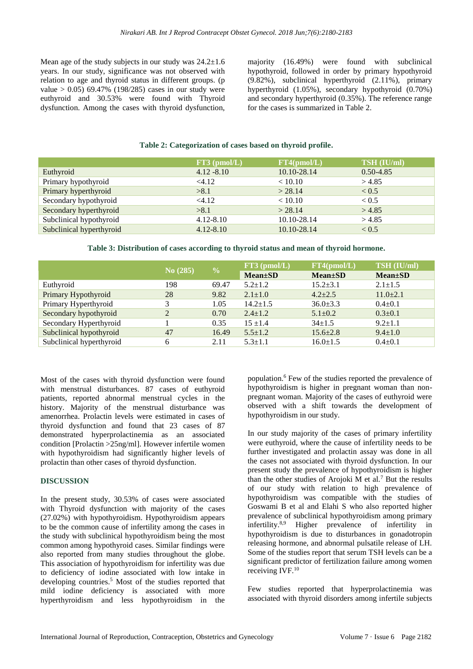Mean age of the study subjects in our study was  $24.2 \pm 1.6$ years. In our study, significance was not observed with relation to age and thyroid status in different groups. (p value  $> 0.05$ ) 69.47% (198/285) cases in our study were euthyroid and 30.53% were found with Thyroid dysfunction. Among the cases with thyroid dysfunction, majority (16.49%) were found with subclinical hypothyroid, followed in order by primary hypothyroid (9.82%), subclinical hyperthyroid (2.11%), primary hyperthyroid (1.05%), secondary hypothyroid (0.70%) and secondary hyperthyroid (0.35%). The reference range for the cases is summarized in Table 2.

# **Table 2: Categorization of cases based on thyroid profile.**

|                          | $FT3$ (pmol/L) | FT4(pmol/L) | TSH (IU/ml)   |
|--------------------------|----------------|-------------|---------------|
| Euthyroid                | $4.12 - 8.10$  | 10.10-28.14 | $0.50 - 4.85$ |
| Primary hypothyroid      | <4.12          | < 10.10     | > 4.85        |
| Primary hyperthyroid     | >8.1           | > 28.14     | ${}_{< 0.5}$  |
| Secondary hypothyroid    | <4.12          | < 10.10     | ${}_{< 0.5}$  |
| Secondary hyperthyroid   | >8.1           | > 28.14     | > 4.85        |
| Subclinical hypothyroid  | $4.12 - 8.10$  | 10.10-28.14 | > 4.85        |
| Subclinical hyperthyroid | $4.12 - 8.10$  | 10.10-28.14 | < 0.5         |

#### **Table 3: Distribution of cases according to thyroid status and mean of thyroid hormone.**

|                          | No (285)       | $\frac{0}{0}$ | $FT3$ (pmol/L) | FT4(pmol/L)    | TSH (IU/ml)    |
|--------------------------|----------------|---------------|----------------|----------------|----------------|
|                          |                |               | $Mean \pm SD$  | $Mean \pm SD$  | $Mean \pm SD$  |
| Euthyroid                | 198            | 69.47         | $5.2 + 1.2$    | $15.2 \pm 3.1$ | $2.1 \pm 1.5$  |
| Primary Hypothyroid      | 28             | 9.82          | $2.1 \pm 1.0$  | $4.2 \pm 2.5$  | $11.0 \pm 2.1$ |
| Primary Hyperthyroid     |                | 1.05          | $14.2 \pm 1.5$ | $36.0 \pm 3.3$ | $0.4 \pm 0.1$  |
| Secondary hypothyroid    | $\overline{2}$ | 0.70          | $2.4 \pm 1.2$  | $5.1 \pm 0.2$  | $0.3 \pm 0.1$  |
| Secondary Hyperthyroid   |                | 0.35          | $15 + 1.4$     | $34 \pm 1.5$   | $9.2 \pm 1.1$  |
| Subclinical hypothyroid  | 47             | 16.49         | $5.5 + 1.2$    | $15.6 \pm 2.8$ | $9.4 \pm 1.0$  |
| Subclinical hyperthyroid | 6              | 2.11          | $5.3 + 1.1$    | $16.0 \pm 1.5$ | $0.4 \pm 0.1$  |

Most of the cases with thyroid dysfunction were found with menstrual disturbances. 87 cases of euthyroid patients, reported abnormal menstrual cycles in the history. Majority of the menstrual disturbance was amenorrhea. Prolactin levels were estimated in cases of thyroid dysfunction and found that 23 cases of 87 demonstrated hyperprolactinemia as an associated condition [Prolactin >25ng/ml]. However infertile women with hypothyroidism had significantly higher levels of prolactin than other cases of thyroid dysfunction.

# **DISCUSSION**

In the present study, 30.53% of cases were associated with Thyroid dysfunction with majority of the cases (27.02%) with hypothyroidism. Hypothyroidism appears to be the common cause of infertility among the cases in the study with subclinical hypothyroidism being the most common among hypothyroid cases. Similar findings were also reported from many studies throughout the globe. This association of hypothyroidism for infertility was due to deficiency of iodine associated with low intake in developing countries. <sup>5</sup> Most of the studies reported that mild iodine deficiency is associated with more hyperthyroidism and less hypothyroidism in the

population.<sup>6</sup> Few of the studies reported the prevalence of hypothyroidism is higher in pregnant woman than nonpregnant woman. Majority of the cases of euthyroid were observed with a shift towards the development of hypothyroidism in our study.

In our study majority of the cases of primary infertility were euthyroid, where the cause of infertility needs to be further investigated and prolactin assay was done in all the cases not associated with thyroid dysfunction. In our present study the prevalence of hypothyroidism is higher than the other studies of Arojoki M et al.<sup>7</sup> But the results of our study with relation to high prevalence of hypothyroidism was compatible with the studies of Goswami B et al and Elahi S who also reported higher prevalence of subclinical hypothyroidism among primary infertility.8,9 Higher prevalence of infertility in hypothyroidism is due to disturbances in gonadotropin releasing hormone, and abnormal pulsatile release of LH. Some of the studies report that serum TSH levels can be a significant predictor of fertilization failure among women receiving IVF.<sup>10</sup>

Few studies reported that hyperprolactinemia was associated with thyroid disorders among infertile subjects